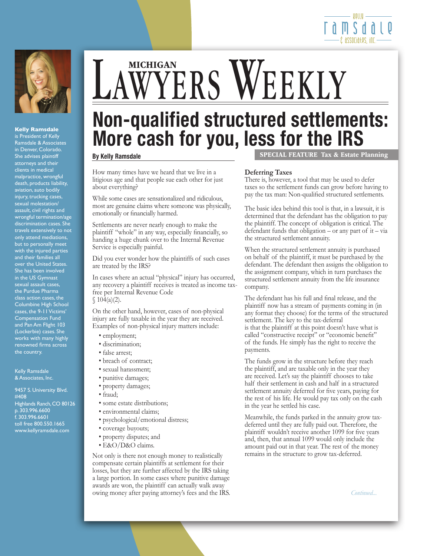



### **Kelly Ramsdale**

is President of Kelly Ramsdale & Associates in Denver, Colorado. She advises plaintiff attorneys and their clients in medical malpractice, wrongful death, products liability, aviation, auto bodily injury, trucking cases, sexual molestation/ assault, civil rights and wrongful termination/age discrimination cases. She travels extensively to not only attend mediations, but to personally meet with the injured parties and their families all over the United States. She has been involved in the US Gymnast sexual assault cases, the Purdue Pharma class action cases, the Columbine High School cases, the 9-11 Victims' Compensation Fund and Pan Am Flight 103 (Lockerbie) cases. She works with many highly renowned firms across the country.

Kelly Ramsdale & Associates, Inc.

9457 S. University Blvd. #408 Highlands Ranch, CO 80126 p. 303.996.6600 f. 303.996.6601 toll free 800.550.1665 www.kellyramsdale.com

# LAWYERS WEEKLY

# **Non-qualified structured settlements: More cash for you, less for the IRS By Kelly Ramsdale** SPECIAL FEATURE Tax & Estate Planning

How many times have we heard that we live in a litigious age and that people sue each other for just about everything?

While some cases are sensationalized and ridiculous, most are genuine claims where someone was physically, emotionally or financially harmed.

Settlements are never nearly enough to make the plaintiff "whole" in any way, especially financially, so handing a huge chunk over to the Internal Revenue Service is especially painful.

Did you ever wonder how the plaintiffs of such cases are treated by the IRS?

In cases where an actual "physical" injury has occurred, any recovery a plaintiff receives is treated as income taxfree per Internal Revenue Code  $$104(a)(2).$ 

On the other hand, however, cases of non-physical injury are fully taxable in the year they are received. Examples of non-physical injury matters include:

- employment;
- discrimination;
- false arrest;
- breach of contract;
- sexual harassment;
- punitive damages;
- property damages;
- fraud;
- some estate distributions;
- environmental claims;
- psychological/emotional distress;
- coverage buyouts;
- property disputes; and
- E&O/D&O claims.

Not only is there not enough money to realistically compensate certain plaintiffs at settlement for their losses, but they are further affected by the IRS taking a large portion. In some cases where punitive damage awards are won, the plaintiff can actually walk away owing money after paying attorney's fees and the IRS.

# **Deferring Taxes**

There is, however, a tool that may be used to defer taxes so the settlement funds can grow before having to pay the tax man: Non-qualified structured settlements.

The basic idea behind this tool is that, in a lawsuit, it is determined that the defendant has the obligation to pay the plaintiff. The concept of obligation is critical. The defendant funds that obligation – or any part of it – via the structured settlement annuity.

When the structured settlement annuity is purchased on behalf of the plaintiff, it must be purchased by the defendant. The defendant then assigns the obligation to the assignment company, which in turn purchases the structured settlement annuity from the life insurance company.

The defendant has his full and final release, and the plaintiff now has a stream of payments coming in (in any format they choose) for the terms of the structured settlement. The key to the tax-deferral is that the plaintiff at this point doesn't have what is called "constructive receipt" or "economic benefit" of the funds. He simply has the right to receive the payments.

The funds grow in the structure before they reach the plaintiff, and are taxable only in the year they are received. Let's say the plaintiff chooses to take half their settlement in cash and half in a structured settlement annuity deferred for five years, paying for the rest of his life. He would pay tax only on the cash in the year he settled his case.

Meanwhile, the funds parked in the annuity grow taxdeferred until they are fully paid out. Therefore, the plaintiff wouldn't receive another 1099 for five years and, then, that annual 1099 would only include the amount paid out in that year. The rest of the money remains in the structure to grow tax-deferred.

*Continued...*